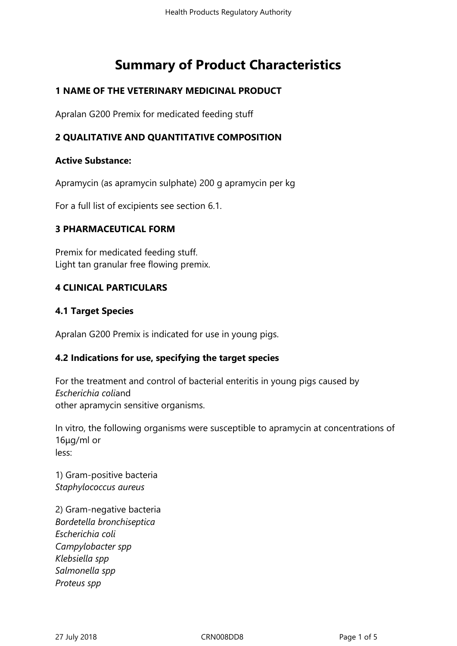# **Summary of Product Characteristics**

# **1 NAME OF THE VETERINARY MEDICINAL PRODUCT**

Apralan G200 Premix for medicated feeding stuff

# **2 QUALITATIVE AND QUANTITATIVE COMPOSITION**

## **Active Substance:**

Apramycin (as apramycin sulphate) 200 g apramycin per kg

For a full list of excipients see section 6.1.

## **3 PHARMACEUTICAL FORM**

Premix for medicated feeding stuff. Light tan granular free flowing premix.

## **4 CLINICAL PARTICULARS**

## **4.1 Target Species**

Apralan G200 Premix is indicated for use in young pigs.

# **4.2 Indications for use, specifying the target species**

For the treatment and control of bacterial enteritis in young pigs caused by *Escherichia coli*and other apramycin sensitive organisms.

In vitro, the following organisms were susceptible to apramycin at concentrations of 16μg/ml or less:

1) Gram-positive bacteria *Staphylococcus aureus*

2) Gram-negative bacteria *Bordetella bronchiseptica Escherichia coli Campylobacter spp Klebsiella spp Salmonella spp Proteus spp*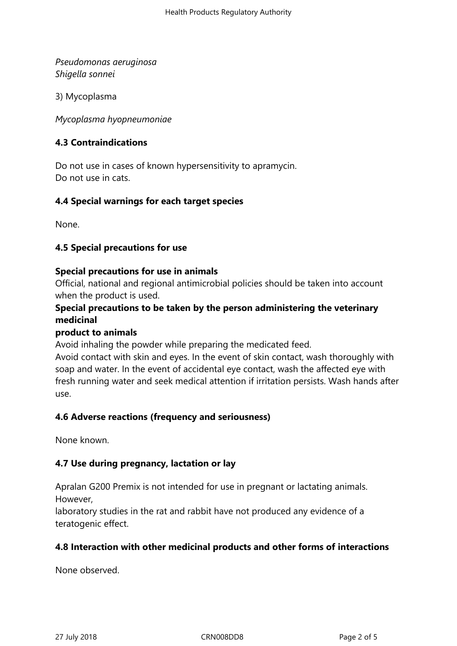*Pseudomonas aeruginosa Shigella sonnei*

3) Mycoplasma

*Mycoplasma hyopneumoniae* 

# **4.3 Contraindications**

Do not use in cases of known hypersensitivity to apramycin. Do not use in cats.

## **4.4 Special warnings for each target species**

None.

## **4.5 Special precautions for use**

#### **Special precautions for use in animals**

Official, national and regional antimicrobial policies should be taken into account when the product is used.

# **Special precautions to be taken by the person administering the veterinary medicinal**

## **product to animals**

Avoid inhaling the powder while preparing the medicated feed.

Avoid contact with skin and eyes. In the event of skin contact, wash thoroughly with soap and water. In the event of accidental eye contact, wash the affected eye with fresh running water and seek medical attention if irritation persists. Wash hands after use.

## **4.6 Adverse reactions (frequency and seriousness)**

None known.

## **4.7 Use during pregnancy, lactation or lay**

Apralan G200 Premix is not intended for use in pregnant or lactating animals. However,

laboratory studies in the rat and rabbit have not produced any evidence of a teratogenic effect.

## **4.8 Interaction with other medicinal products and other forms of interactions**

None observed.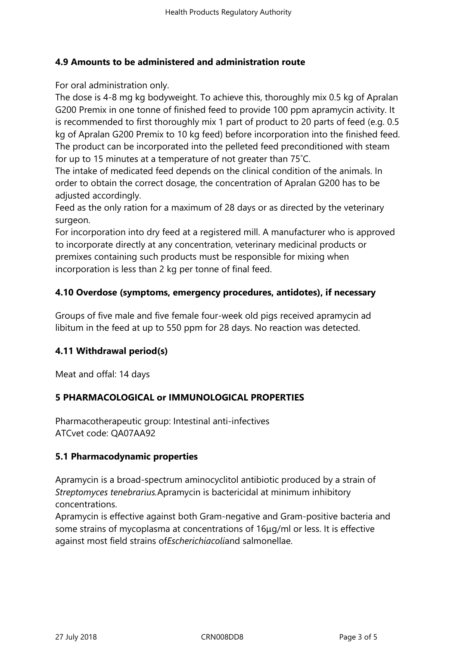## **4.9 Amounts to be administered and administration route**

For oral administration only.

The dose is 4-8 mg kg bodyweight. To achieve this, thoroughly mix 0.5 kg of Apralan G200 Premix in one tonne of finished feed to provide 100 ppm apramycin activity. It is recommended to first thoroughly mix 1 part of product to 20 parts of feed (e.g. 0.5 kg of Apralan G200 Premix to 10 kg feed) before incorporation into the finished feed. The product can be incorporated into the pelleted feed preconditioned with steam for up to 15 minutes at a temperature of not greater than 75˚C.

The intake of medicated feed depends on the clinical condition of the animals. In order to obtain the correct dosage, the concentration of Apralan G200 has to be adjusted accordingly.

Feed as the only ration for a maximum of 28 days or as directed by the veterinary surgeon.

For incorporation into dry feed at a registered mill. A manufacturer who is approved to incorporate directly at any concentration, veterinary medicinal products or premixes containing such products must be responsible for mixing when incorporation is less than 2 kg per tonne of final feed.

# **4.10 Overdose (symptoms, emergency procedures, antidotes), if necessary**

Groups of five male and five female four-week old pigs received apramycin ad libitum in the feed at up to 550 ppm for 28 days. No reaction was detected.

# **4.11 Withdrawal period(s)**

Meat and offal: 14 days

# **5 PHARMACOLOGICAL or IMMUNOLOGICAL PROPERTIES**

Pharmacotherapeutic group: Intestinal anti-infectives ATCvet code: QA07AA92

## **5.1 Pharmacodynamic properties**

Apramycin is a broad-spectrum aminocyclitol antibiotic produced by a strain of *Streptomyces tenebrarius.*Apramycin is bactericidal at minimum inhibitory concentrations.

Apramycin is effective against both Gram-negative and Gram-positive bacteria and some strains of mycoplasma at concentrations of 16μg/ml or less. It is effective against most field strains of*Escherichiacoli*and salmonellae.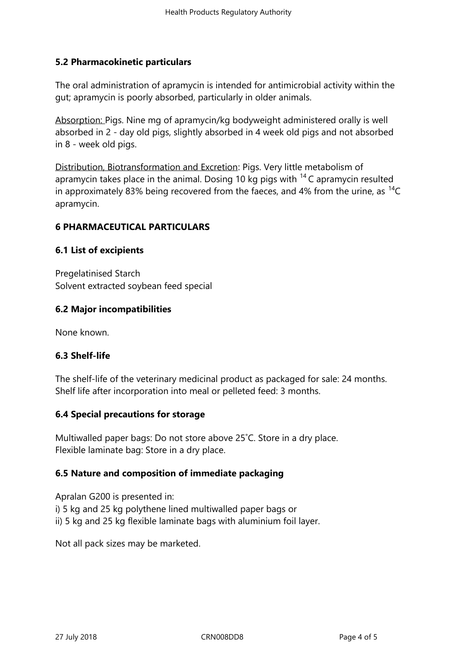# **5.2 Pharmacokinetic particulars**

The oral administration of apramycin is intended for antimicrobial activity within the gut; apramycin is poorly absorbed, particularly in older animals.

Absorption: Pigs. Nine mg of apramycin/kg bodyweight administered orally is well absorbed in 2 - day old pigs, slightly absorbed in 4 week old pigs and not absorbed in 8 - week old pigs.

Distribution, Biotransformation and Excretion: Pigs. Very little metabolism of apramycin takes place in the animal. Dosing 10 kg pigs with  $14$  C apramycin resulted in approximately 83% being recovered from the faeces, and 4% from the urine, as  $^{14}C$ apramycin.

# **6 PHARMACEUTICAL PARTICULARS**

# **6.1 List of excipients**

Pregelatinised Starch Solvent extracted soybean feed special

# **6.2 Major incompatibilities**

None known.

# **6.3 Shelf-life**

The shelf-life of the veterinary medicinal product as packaged for sale: 24 months. Shelf life after incorporation into meal or pelleted feed: 3 months.

# **6.4 Special precautions for storage**

Multiwalled paper bags: Do not store above 25˚C. Store in a dry place. Flexible laminate bag: Store in a dry place.

# **6.5 Nature and composition of immediate packaging**

Apralan G200 is presented in: i) 5 kg and 25 kg polythene lined multiwalled paper bags or ii) 5 kg and 25 kg flexible laminate bags with aluminium foil layer.

Not all pack sizes may be marketed.